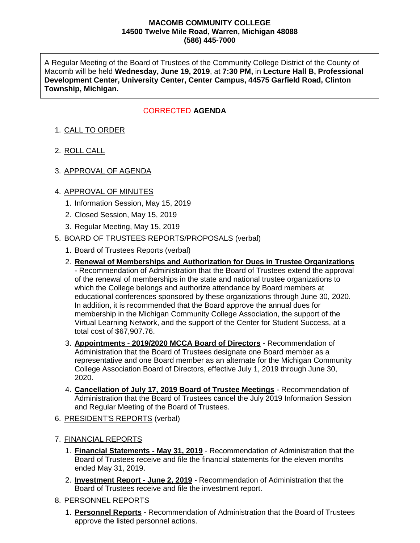#### **MACOMB COMMUNITY COLLEGE 14500 Twelve Mile Road, Warren, Michigan 48088 (586) 445-7000**

A Regular Meeting of the Board of Trustees of the Community College District of the County of Macomb will be held **Wednesday, June 19, 2019**, at **7:30 PM,** in **Lecture Hall B, Professional Development Center, University Center, Center Campus, 44575 Garfield Road, Clinton Township, Michigan.**

# CORRECTED AGENDA

# 1. CALL TO ORDER

- 2. ROLL CALL
- 3. APPROVAL OF AGENDA

### 4. APPROVAL OF MINUTES

- 1. Information Session, May 15, 2019
- 2. Closed Session, May 15, 2019
- 3. Regular Meeting, May 15, 2019

### 5. BOARD OF TRUSTEES REPORTS/PROPOSALS (verbal)

- 1. Board of Trustees Reports (verbal)
- 2. **Renewal of Memberships and Authorization for Dues in Trustee Organizations** - Recommendation of Administration that the Board of Trustees extend the approval of the renewal of memberships in the state and national trustee organizations to which the College belongs and authorize attendance by Board members at educational conferences sponsored by these organizations through June 30, 2020. In addition, it is recommended that the Board approve the annual dues for membership in the Michigan Community College Association, the support of the Virtual Learning Network, and the support of the Center for Student Success, at a total cost of \$67,907.76.
- 3. **Appointments - 2019/2020 MCCA Board of Directors -** Recommendation of Administration that the Board of Trustees designate one Board member as a representative and one Board member as an alternate for the Michigan Community College Association Board of Directors, effective July 1, 2019 through June 30, 2020.
- 4. **Cancellation of July 17, 2019 Board of Trustee Meetings** Recommendation of Administration that the Board of Trustees cancel the July 2019 Information Session and Regular Meeting of the Board of Trustees.
- 6. PRESIDENT'S REPORTS (verbal)
- 7. FINANCIAL REPORTS
	- 1. **Financial Statements - May 31, 2019** Recommendation of Administration that the Board of Trustees receive and file the financial statements for the eleven months ended May 31, 2019.
	- 2. **Investment Report - June 2, 2019** Recommendation of Administration that the Board of Trustees receive and file the investment report.
- 8. PERSONNEL REPORTS
	- 1. **Personnel Reports -** Recommendation of Administration that the Board of Trustees approve the listed personnel actions.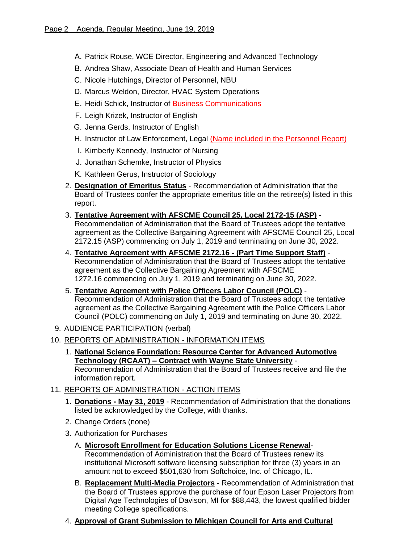- A. Patrick Rouse, WCE Director, Engineering and Advanced Technology
- B. Andrea Shaw, Associate Dean of Health and Human Services
- C. Nicole Hutchings, Director of Personnel, NBU
- D. Marcus Weldon, Director, HVAC System Operations
- E. Heidi Schick, Instructor of Business Communications
- F. Leigh Krizek, Instructor of English
- G. Jenna Gerds, Instructor of English
- H. Instructor of Law Enforcement, Legal (Name included in the Personnel Report)
- I. Kimberly Kennedy, Instructor of Nursing
- J. Jonathan Schemke, Instructor of Physics
- K. Kathleen Gerus, Instructor of Sociology
- 2. **Designation of Emeritus Status** Recommendation of Administration that the Board of Trustees confer the appropriate emeritus title on the retiree(s) listed in this report.
- 3. **Tentative Agreement with AFSCME Council 25, Local 2172-15 (ASP)** Recommendation of Administration that the Board of Trustees adopt the tentative agreement as the Collective Bargaining Agreement with AFSCME Council 25, Local 2172.15 (ASP) commencing on July 1, 2019 and terminating on June 30, 2022.
- 4. **Tentative Agreement with AFSCME 2172.16 - (Part Time Support Staff)** Recommendation of Administration that the Board of Trustees adopt the tentative agreement as the Collective Bargaining Agreement with AFSCME 1272.16 commencing on July 1, 2019 and terminating on June 30, 2022.
- 5. **Tentative Agreement with Police Officers Labor Council (POLC)** Recommendation of Administration that the Board of Trustees adopt the tentative agreement as the Collective Bargaining Agreement with the Police Officers Labor Council (POLC) commencing on July 1, 2019 and terminating on June 30, 2022.
- 9. AUDIENCE PARTICIPATION (verbal)
- 10. REPORTS OF ADMINISTRATION INFORMATION ITEMS
	- 1. **National Science Foundation: Resource Center for Advanced Automotive Technology (RCAAT) – Contract with Wayne State University** - Recommendation of Administration that the Board of Trustees receive and file the information report.
- 11. REPORTS OF ADMINISTRATION ACTION ITEMS
	- 1. **Donations - May 31, 2019** Recommendation of Administration that the donations listed be acknowledged by the College, with thanks.
	- 2. Change Orders (none)
	- 3. Authorization for Purchases
		- A. **Microsoft Enrollment for Education Solutions License Renewal**-Recommendation of Administration that the Board of Trustees renew its institutional Microsoft software licensing subscription for three (3) years in an amount not to exceed \$501,630 from Softchoice, Inc. of Chicago, IL.
		- B. **Replacement Multi-Media Projectors** Recommendation of Administration that the Board of Trustees approve the purchase of four Epson Laser Projectors from Digital Age Technologies of Davison, MI for \$88,443, the lowest qualified bidder meeting College specifications.
	- 4. **Approval of Grant Submission to Michigan Council for Arts and Cultural**